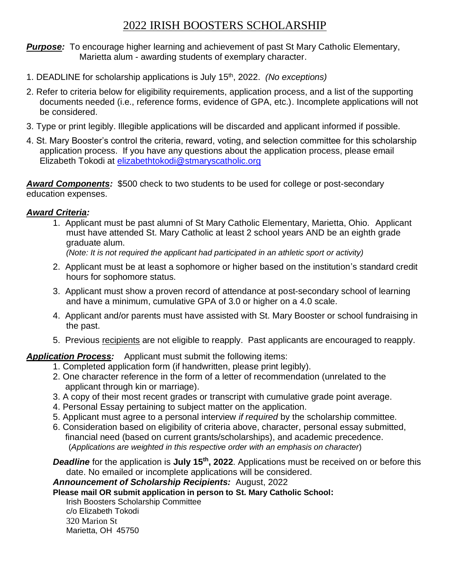## 2022 IRISH BOOSTERS SCHOLARSHIP

- *Purpose:* To encourage higher learning and achievement of past St Mary Catholic Elementary, Marietta alum - awarding students of exemplary character.
- 1. DEADLINE for scholarship applications is July 15 th, 2022. *(No exceptions)*
- 2. Refer to criteria below for eligibility requirements, application process, and a list of the supporting documents needed (i.e., reference forms, evidence of GPA, etc.). Incomplete applications will not be considered.
- 3. Type or print legibly. Illegible applications will be discarded and applicant informed if possible.
- 4. St. Mary Booster's control the criteria, reward, voting, and selection committee for this scholarship application process. If you have any questions about the application process, please email Elizabeth Tokodi at [elizabethtokodi@stmaryscatholic.org](mailto:elizabethtokodi@stmaryscatholic,org)

*Award Components:* \$500 check to two students to be used for college or post-secondary education expenses.

#### *Award Criteria:*

1. Applicant must be past alumni of St Mary Catholic Elementary, Marietta, Ohio. Applicant must have attended St. Mary Catholic at least 2 school years AND be an eighth grade graduate alum.

*(Note: It is not required the applicant had participated in an athletic sport or activity)*

- 2. Applicant must be at least a sophomore or higher based on the institution's standard credit hours for sophomore status.
- 3. Applicant must show a proven record of attendance at post-secondary school of learning and have a minimum, cumulative GPA of 3.0 or higher on a 4.0 scale.
- 4. Applicant and/or parents must have assisted with St. Mary Booster or school fundraising in the past.
- 5. Previous recipients are not eligible to reapply. Past applicants are encouraged to reapply.

### *Application Process:* Applicant must submit the following items:

- 1. Completed application form (if handwritten, please print legibly).
- 2. One character reference in the form of a letter of recommendation (unrelated to the applicant through kin or marriage).
- 3. A copy of their most recent grades or transcript with cumulative grade point average.
- 4. Personal Essay pertaining to subject matter on the application.
- 5. Applicant must agree to a personal interview *if required* by the scholarship committee.
- 6. Consideration based on eligibility of criteria above, character, personal essay submitted, financial need (based on current grants/scholarships), and academic precedence. (*Applications are weighted in this respective order with an emphasis on character*)

#### **Deadline** for the application is July 15<sup>th</sup>, 2022. Applications must be received on or before this date. No emailed or incomplete applications will be considered.

*Announcement of Scholarship Recipients:* August, 2022

**Please mail OR submit application in person to St. Mary Catholic School:** 

Irish Boosters Scholarship Committee c/o Elizabeth Tokodi 320 Marion St Marietta, OH 45750